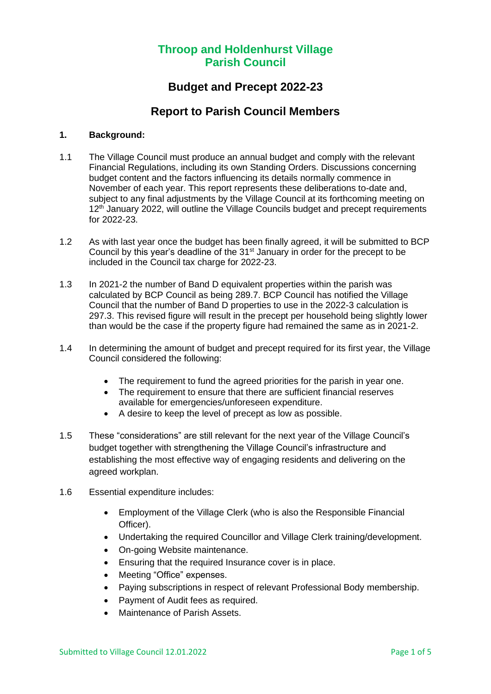### **Budget and Precept 2022-23**

### **Report to Parish Council Members**

#### **1. Background:**

- 1.1 The Village Council must produce an annual budget and comply with the relevant Financial Regulations, including its own Standing Orders. Discussions concerning budget content and the factors influencing its details normally commence in November of each year. This report represents these deliberations to-date and, subject to any final adjustments by the Village Council at its forthcoming meeting on 12<sup>th</sup> January 2022, will outline the Village Councils budget and precept requirements for 2022-23.
- 1.2 As with last year once the budget has been finally agreed, it will be submitted to BCP Council by this year's deadline of the  $31<sup>st</sup>$  January in order for the precept to be included in the Council tax charge for 2022-23.
- 1.3 In 2021-2 the number of Band D equivalent properties within the parish was calculated by BCP Council as being 289.7. BCP Council has notified the Village Council that the number of Band D properties to use in the 2022-3 calculation is 297.3. This revised figure will result in the precept per household being slightly lower than would be the case if the property figure had remained the same as in 2021-2.
- 1.4 In determining the amount of budget and precept required for its first year, the Village Council considered the following:
	- The requirement to fund the agreed priorities for the parish in year one.
	- The requirement to ensure that there are sufficient financial reserves available for emergencies/unforeseen expenditure.
	- A desire to keep the level of precept as low as possible.
- 1.5 These "considerations" are still relevant for the next year of the Village Council's budget together with strengthening the Village Council's infrastructure and establishing the most effective way of engaging residents and delivering on the agreed workplan.
- 1.6 Essential expenditure includes:
	- Employment of the Village Clerk (who is also the Responsible Financial Officer).
	- Undertaking the required Councillor and Village Clerk training/development.
	- On-going Website maintenance.
	- Ensuring that the required Insurance cover is in place.
	- Meeting "Office" expenses.
	- Paying subscriptions in respect of relevant Professional Body membership.
	- Payment of Audit fees as required.
	- Maintenance of Parish Assets.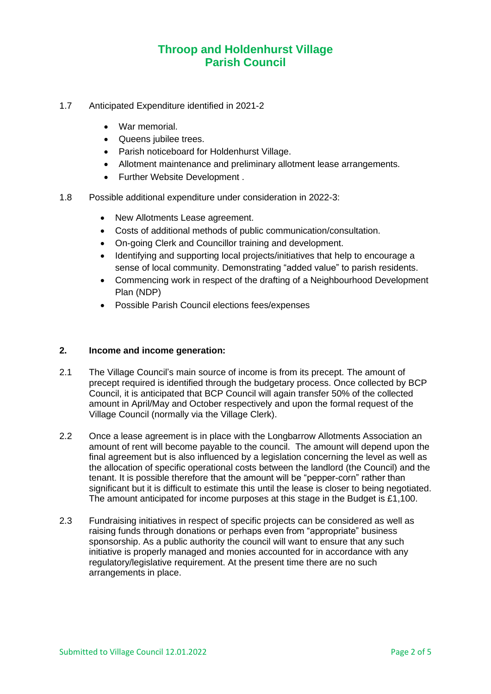- 1.7 Anticipated Expenditure identified in 2021-2
	- War memorial.
	- Queens jubilee trees.
	- Parish noticeboard for Holdenhurst Village.
	- Allotment maintenance and preliminary allotment lease arrangements.
	- Further Website Development .
- 1.8 Possible additional expenditure under consideration in 2022-3:
	- New Allotments Lease agreement.
	- Costs of additional methods of public communication/consultation.
	- On-going Clerk and Councillor training and development.
	- Identifying and supporting local projects/initiatives that help to encourage a sense of local community. Demonstrating "added value" to parish residents.
	- Commencing work in respect of the drafting of a Neighbourhood Development Plan (NDP)
	- Possible Parish Council elections fees/expenses

#### **2. Income and income generation:**

- 2.1 The Village Council's main source of income is from its precept. The amount of precept required is identified through the budgetary process. Once collected by BCP Council, it is anticipated that BCP Council will again transfer 50% of the collected amount in April/May and October respectively and upon the formal request of the Village Council (normally via the Village Clerk).
- 2.2 Once a lease agreement is in place with the Longbarrow Allotments Association an amount of rent will become payable to the council. The amount will depend upon the final agreement but is also influenced by a legislation concerning the level as well as the allocation of specific operational costs between the landlord (the Council) and the tenant. It is possible therefore that the amount will be "pepper-corn" rather than significant but it is difficult to estimate this until the lease is closer to being negotiated. The amount anticipated for income purposes at this stage in the Budget is £1,100.
- 2.3 Fundraising initiatives in respect of specific projects can be considered as well as raising funds through donations or perhaps even from "appropriate" business sponsorship. As a public authority the council will want to ensure that any such initiative is properly managed and monies accounted for in accordance with any regulatory/legislative requirement. At the present time there are no such arrangements in place.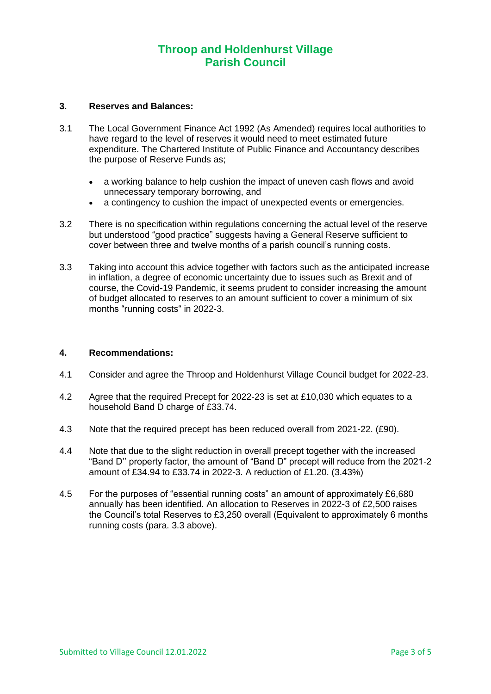#### **3. Reserves and Balances:**

- 3.1 The Local Government Finance Act 1992 (As Amended) requires local authorities to have regard to the level of reserves it would need to meet estimated future expenditure. The Chartered Institute of Public Finance and Accountancy describes the purpose of Reserve Funds as;
	- a working balance to help cushion the impact of uneven cash flows and avoid unnecessary temporary borrowing, and
	- a contingency to cushion the impact of unexpected events or emergencies.
- 3.2 There is no specification within regulations concerning the actual level of the reserve but understood "good practice" suggests having a General Reserve sufficient to cover between three and twelve months of a parish council's running costs.
- 3.3 Taking into account this advice together with factors such as the anticipated increase in inflation, a degree of economic uncertainty due to issues such as Brexit and of course, the Covid-19 Pandemic, it seems prudent to consider increasing the amount of budget allocated to reserves to an amount sufficient to cover a minimum of six months "running costs" in 2022-3.

#### **4. Recommendations:**

- 4.1 Consider and agree the Throop and Holdenhurst Village Council budget for 2022-23.
- 4.2 Agree that the required Precept for 2022-23 is set at £10,030 which equates to a household Band D charge of £33.74.
- 4.3 Note that the required precept has been reduced overall from 2021-22. (£90).
- 4.4 Note that due to the slight reduction in overall precept together with the increased "Band D'' property factor, the amount of "Band D" precept will reduce from the 2021-2 amount of £34.94 to £33.74 in 2022-3. A reduction of £1.20. (3.43%)
- 4.5 For the purposes of "essential running costs" an amount of approximately £6,680 annually has been identified. An allocation to Reserves in 2022-3 of £2,500 raises the Council's total Reserves to £3,250 overall (Equivalent to approximately 6 months running costs (para. 3.3 above).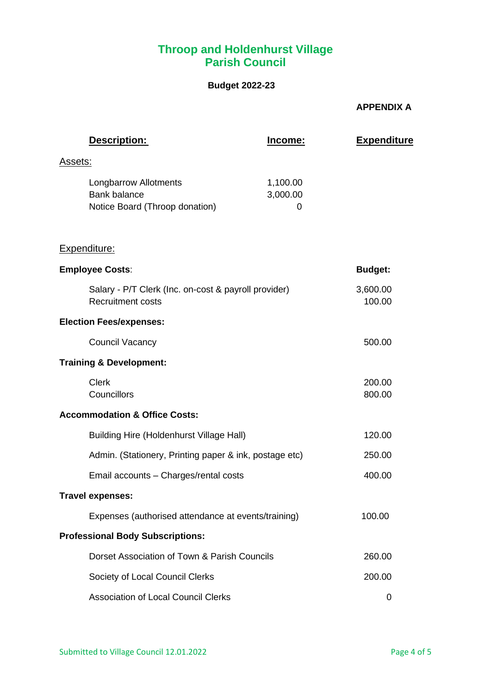### **Budget 2022-23**

### **APPENDIX A**

| Description:                                                                          | <u>Income:</u>            | <b>Expenditure</b> |
|---------------------------------------------------------------------------------------|---------------------------|--------------------|
| <u>Assets:</u>                                                                        |                           |                    |
| <b>Longbarrow Allotments</b><br><b>Bank balance</b><br>Notice Board (Throop donation) | 1,100.00<br>3,000.00<br>0 |                    |
| Expenditure:                                                                          |                           |                    |
| <b>Employee Costs:</b>                                                                |                           | <b>Budget:</b>     |
| Salary - P/T Clerk (Inc. on-cost & payroll provider)<br><b>Recruitment costs</b>      |                           | 3,600.00<br>100.00 |
| <b>Election Fees/expenses:</b>                                                        |                           |                    |
| <b>Council Vacancy</b>                                                                |                           | 500.00             |
| <b>Training &amp; Development:</b>                                                    |                           |                    |
| <b>Clerk</b><br>Councillors                                                           |                           | 200.00<br>800.00   |
| <b>Accommodation &amp; Office Costs:</b>                                              |                           |                    |
| <b>Building Hire (Holdenhurst Village Hall)</b>                                       |                           | 120.00             |
| Admin. (Stationery, Printing paper & ink, postage etc)                                |                           | 250.00             |
| Email accounts - Charges/rental costs                                                 |                           | 400.00             |
| <b>Travel expenses:</b>                                                               |                           |                    |
| Expenses (authorised attendance at events/training)                                   |                           | 100.00             |
| <b>Professional Body Subscriptions:</b>                                               |                           |                    |
| Dorset Association of Town & Parish Councils                                          |                           | 260.00             |
| Society of Local Council Clerks                                                       |                           | 200.00             |
| <b>Association of Local Council Clerks</b>                                            |                           | 0                  |